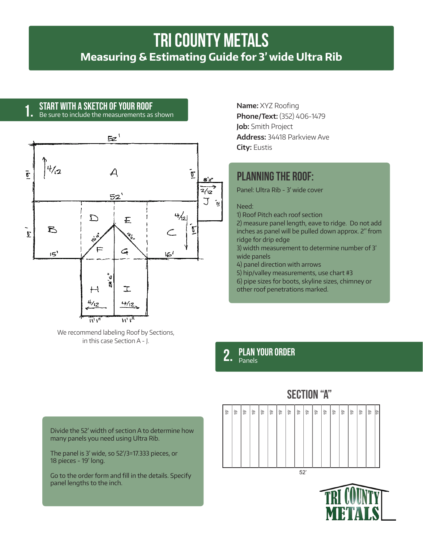# **tri county metals Measuring & Estimating Guide for 3' wide Ultra Rib**

## Start with a sketch of your roof **1.**

Be sure to include the measurements as shown



We recommend labeling Roof by Sections, in this case Section A - J.

**Name:** XYZ Roofing **Phone/Text:** (352) 406-1479 **Job:** Smith Project **Address:** 34418 Parkview Ave **City:** Eustis

## **Planning the roof:**

Panel: Ultra Rib - 3' wide cover

## Need:

1) Roof Pitch each roof section

2) measure panel length, eave to ridge. Do not add inches as panel will be pulled down approx. 2" from ridge for drip edge

3) width measurement to determine number of 3' wide panels

4) panel direction with arrows

5) hip/valley measurements, use chart #3

6) pipe sizes for boots, skyline sizes, chimney or other roof penetrations marked.

## plan your order 2. PLAN<sup>'</sup>

Divide the 52' width of section A to determine how many panels you need using Ultra Rib.

The panel is 3' wide, so 52'/3=17.333 pieces, or 18 pieces - 19' long.

Go to the order form and fill in the details. Specify panel lengths to the inch.



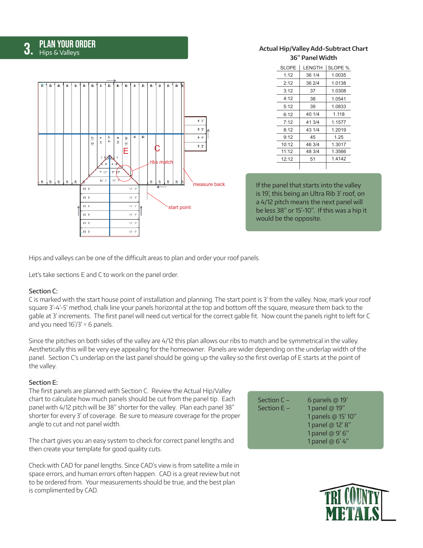# **3. PLAN YOUR ORDER**

#### $\frac{1}{2}$  $\geq$ è è  $\frac{1}{2}$ ġ  $B^2$  2  $B^2$  2  $\overline{b}$  $B^2$  2  $\eta$  .  $\eta$  .  $\frac{1}{2}$  $\frac{9}{2}$  $12^\circ$   $8^\circ$ 16° 16'  $B^2$  2  $\mathsf{E}$   $\vert \ \vert$   $\mathsf{C}$ ribs match  $-11$  $W$  $\mathbb{R}$  $\frac{1}{2}$  $\dot{\underline{\mathbf{r}}}$ measure back  $11<sup>2</sup>$  $11'$   $1'$  $11.1$  $11^{\circ}$  1  $11.1$  $111.1$ start point  $11^{\circ}$  1  $11^{\circ}$  1  $11<sup>2</sup>$  $11<sup>2</sup>$  $1111$  $11^{\circ}$   $1^{\circ}$

## **Actual Hip/Valley Add-Subtract Chart 36" Panel Width**

| <b>SLOPE</b> | LENGTH | SLOPE % |
|--------------|--------|---------|
| 1:12         | 36 1/4 | 1.0035  |
| 2:12         | 36 2/4 | 1.0138  |
| 3:12         | 37     | 1.0308  |
| 4:12         | 38     | 1.0541  |
| 5:12         | 39     | 1.0833  |
| 6:12         | 40 1/4 | 1.118   |
| 7:12         | 41 3/4 | 1.1577  |
| 8:12         | 43 1/4 | 1.2019  |
| 9:12         | 45     | 1.25    |
| 10:12        | 46 3/4 | 1.3017  |
| 11:12        | 48 3/4 | 1.3566  |
| 12:12        | 51     | 1.4142  |
|              |        |         |

If the panel that starts into the valley is 19', this being an Ultra Rib 3' roof, on a 4/12 pitch means the next panel will be less 38" or 15'-10". If this was a hip it would be the opposite.

Hips and valleys can be one of the difficult areas to plan and order your roof panels.

Let's take sections E and C to work on the panel order.

## Section C:

C is marked with the start house point of installation and planning. The start point is 3' from the valley. Now, mark your roof square 3'-4'-5' method, chalk line your panels horizontal at the top and bottom off the square, measure them back to the gable at 3' increments. The first panel will need cut vertical for the correct gable fit. Now count the panels right to left for C and you need  $16'/3' = 6$  panels.

Since the pitches on both sides of the valley are 4/12 this plan allows our ribs to match and be symmetrical in the valley. Aesthetically this will be very eye appealing for the homeowner. Panels are wider depending on the underlap width of the panel. Section C's underlap on the last panel should be going up the valley so the first overlap of E starts at the point of the valley.

## Section E:

The first panels are planned with Section C. Review the Actual Hip/Valley chart to calculate how much panels should be cut from the panel tip. Each panel with 4/12 pitch will be 38" shorter for the valley. Plan each panel 38" shorter for every 3' of coverage. Be sure to measure coverage for the proper angle to cut and not panel width.

The chart gives you an easy system to check for correct panel lengths and then create your template for good quality cuts.

Check with CAD for panel lengths. Since CAD's view is from satellite a mile in space errors, and human errors often happen. CAD is a great review but not to be ordered from. Your measurements should be true, and the best plan is complimented by CAD.

| Section $C -$ | 6 panels $@19'$    |
|---------------|--------------------|
| Section $E -$ | 1 panel @ 19"      |
|               | 1 panels @ 15' 10" |
|               | 1 panel @ 12' 8"   |
|               | 1 panel @ 9' 6"    |
|               | 1 panel @ 6' 4"    |
|               |                    |